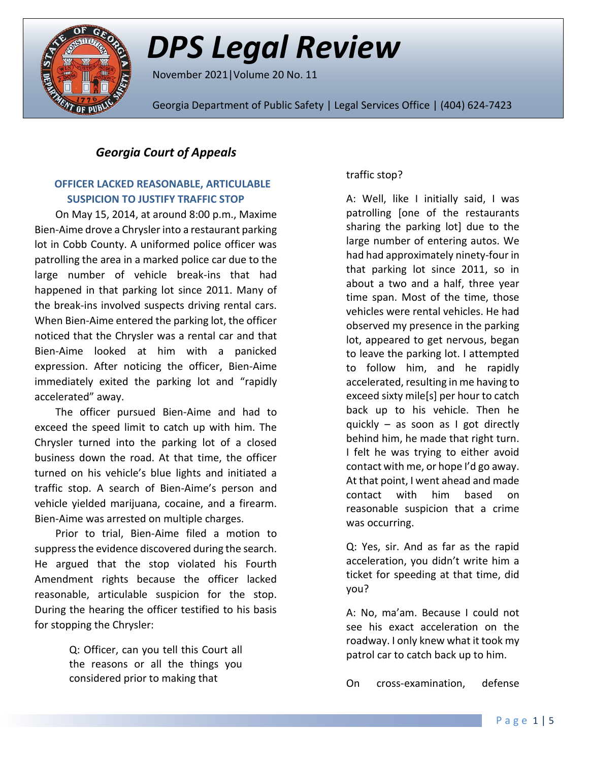

# *DPS Legal Review*

November 2021|Volume 20 No. 11

Georgia Department of Public Safety | Legal Services Office | (404) 624-7423

## *Georgia Court of Appeals*

## **OFFICER LACKED REASONABLE, ARTICULABLE SUSPICION TO JUSTIFY TRAFFIC STOP**

On May 15, 2014, at around 8:00 p.m., Maxime Bien-Aime drove a Chrysler into a restaurant parking lot in Cobb County. A uniformed police officer was patrolling the area in a marked police car due to the large number of vehicle break-ins that had happened in that parking lot since 2011. Many of the break-ins involved suspects driving rental cars. When Bien-Aime entered the parking lot, the officer noticed that the Chrysler was a rental car and that Bien-Aime looked at him with a panicked expression. After noticing the officer, Bien-Aime immediately exited the parking lot and "rapidly accelerated" away.

The officer pursued Bien-Aime and had to exceed the speed limit to catch up with him. The Chrysler turned into the parking lot of a closed business down the road. At that time, the officer turned on his vehicle's blue lights and initiated a traffic stop. A search of Bien-Aime's person and vehicle yielded marijuana, cocaine, and a firearm. Bien-Aime was arrested on multiple charges.

Prior to trial, Bien-Aime filed a motion to suppress the evidence discovered during the search. He argued that the stop violated his Fourth Amendment rights because the officer lacked reasonable, articulable suspicion for the stop. During the hearing the officer testified to his basis for stopping the Chrysler:

> Q: Officer, can you tell this Court all the reasons or all the things you considered prior to making that

### traffic stop?

A: Well, like I initially said, I was patrolling [one of the restaurants sharing the parking lot] due to the large number of entering autos. We had had approximately ninety-four in that parking lot since 2011, so in about a two and a half, three year time span. Most of the time, those vehicles were rental vehicles. He had observed my presence in the parking lot, appeared to get nervous, began to leave the parking lot. I attempted to follow him, and he rapidly accelerated, resulting in me having to exceed sixty mile[s] per hour to catch back up to his vehicle. Then he quickly – as soon as I got directly behind him, he made that right turn. I felt he was trying to either avoid contact with me, or hope I'd go away. At that point, I went ahead and made contact with him based on reasonable suspicion that a crime was occurring.

Q: Yes, sir. And as far as the rapid acceleration, you didn't write him a ticket for speeding at that time, did you?

A: No, ma'am. Because I could not see his exact acceleration on the roadway. I only knew what it took my patrol car to catch back up to him.

On cross-examination, defense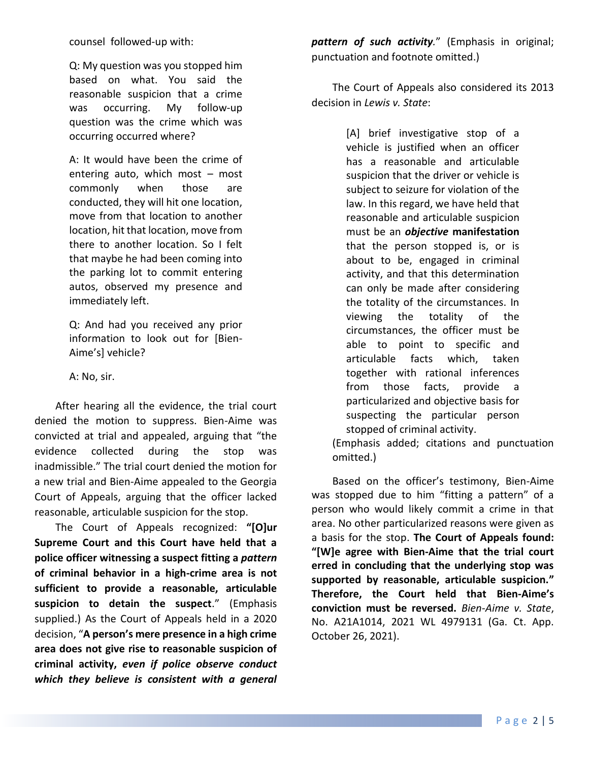counsel followed-up with:

Q: My question was you stopped him based on what. You said the reasonable suspicion that a crime was occurring. My follow-up question was the crime which was occurring occurred where?

A: It would have been the crime of entering auto, which most – most commonly when those are conducted, they will hit one location, move from that location to another location, hit that location, move from there to another location. So I felt that maybe he had been coming into the parking lot to commit entering autos, observed my presence and immediately left.

Q: And had you received any prior information to look out for [Bien-Aime's] vehicle?

A: No, sir.

After hearing all the evidence, the trial court denied the motion to suppress. Bien-Aime was convicted at trial and appealed, arguing that "the evidence collected during the stop was inadmissible." The trial court denied the motion for a new trial and Bien-Aime appealed to the Georgia Court of Appeals, arguing that the officer lacked reasonable, articulable suspicion for the stop.

The Court of Appeals recognized: **"[O]ur Supreme Court and this Court have held that a police officer witnessing a suspect fitting a** *pattern* **of criminal behavior in a high-crime area is not sufficient to provide a reasonable, articulable suspicion to detain the suspect**." (Emphasis supplied.) As the Court of Appeals held in a 2020 decision, "**A person's mere presence in a high crime area does not give rise to reasonable suspicion of criminal activity,** *even if police observe conduct which they believe is consistent with a general* 

*pattern of such activity.*" (Emphasis in original; punctuation and footnote omitted.)

The Court of Appeals also considered its 2013 decision in *Lewis v. State*:

> [A] brief investigative stop of a vehicle is justified when an officer has a reasonable and articulable suspicion that the driver or vehicle is subject to seizure for violation of the law. In this regard, we have held that reasonable and articulable suspicion must be an *objective* **manifestation** that the person stopped is, or is about to be, engaged in criminal activity, and that this determination can only be made after considering the totality of the circumstances. In viewing the totality of the circumstances, the officer must be able to point to specific and articulable facts which, taken together with rational inferences from those facts, provide a particularized and objective basis for suspecting the particular person stopped of criminal activity.

(Emphasis added; citations and punctuation omitted.)

Based on the officer's testimony, Bien-Aime was stopped due to him "fitting a pattern" of a person who would likely commit a crime in that area. No other particularized reasons were given as a basis for the stop. **The Court of Appeals found: "[W]e agree with Bien-Aime that the trial court erred in concluding that the underlying stop was supported by reasonable, articulable suspicion." Therefore, the Court held that Bien-Aime's conviction must be reversed.** *Bien-Aime v. State*, No. A21A1014, 2021 WL 4979131 (Ga. Ct. App. October 26, 2021).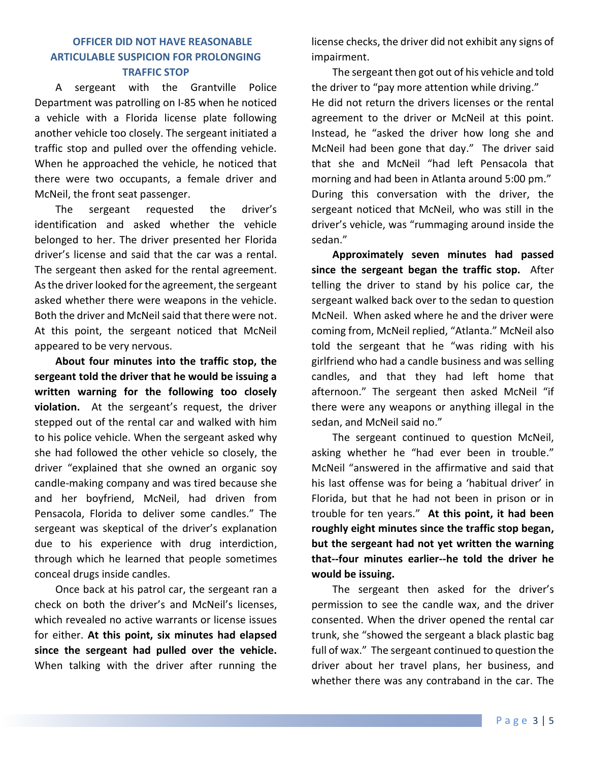#### **OFFICER DID NOT HAVE REASONABLE ARTICULABLE SUSPICION FOR PROLONGING TRAFFIC STOP**

A sergeant with the Grantville Police Department was patrolling on I-85 when he noticed a vehicle with a Florida license plate following another vehicle too closely. The sergeant initiated a traffic stop and pulled over the offending vehicle. When he approached the vehicle, he noticed that there were two occupants, a female driver and McNeil, the front seat passenger.

The sergeant requested the driver's identification and asked whether the vehicle belonged to her. The driver presented her Florida driver's license and said that the car was a rental. The sergeant then asked for the rental agreement. As the driver looked for the agreement, the sergeant asked whether there were weapons in the vehicle. Both the driver and McNeil said that there were not. At this point, the sergeant noticed that McNeil appeared to be very nervous.

**About four minutes into the traffic stop, the sergeant told the driver that he would be issuing a written warning for the following too closely violation.** At the sergeant's request, the driver stepped out of the rental car and walked with him to his police vehicle. When the sergeant asked why she had followed the other vehicle so closely, the driver "explained that she owned an organic soy candle-making company and was tired because she and her boyfriend, McNeil, had driven from Pensacola, Florida to deliver some candles." The sergeant was skeptical of the driver's explanation due to his experience with drug interdiction, through which he learned that people sometimes conceal drugs inside candles.

Once back at his patrol car, the sergeant ran a check on both the driver's and McNeil's licenses, which revealed no active warrants or license issues for either. **At this point, six minutes had elapsed since the sergeant had pulled over the vehicle.** When talking with the driver after running the license checks, the driver did not exhibit any signs of impairment.

The sergeant then got out of his vehicle and told the driver to "pay more attention while driving." He did not return the drivers licenses or the rental agreement to the driver or McNeil at this point. Instead, he "asked the driver how long she and McNeil had been gone that day." The driver said that she and McNeil "had left Pensacola that morning and had been in Atlanta around 5:00 pm." During this conversation with the driver, the sergeant noticed that McNeil, who was still in the driver's vehicle, was "rummaging around inside the sedan."

**Approximately seven minutes had passed since the sergeant began the traffic stop.** After telling the driver to stand by his police car, the sergeant walked back over to the sedan to question McNeil. When asked where he and the driver were coming from, McNeil replied, "Atlanta." McNeil also told the sergeant that he "was riding with his girlfriend who had a candle business and was selling candles, and that they had left home that afternoon." The sergeant then asked McNeil "if there were any weapons or anything illegal in the sedan, and McNeil said no."

The sergeant continued to question McNeil, asking whether he "had ever been in trouble." McNeil "answered in the affirmative and said that his last offense was for being a 'habitual driver' in Florida, but that he had not been in prison or in trouble for ten years." **At this point, it had been roughly eight minutes since the traffic stop began, but the sergeant had not yet written the warning that--four minutes earlier--he told the driver he would be issuing.**

The sergeant then asked for the driver's permission to see the candle wax, and the driver consented. When the driver opened the rental car trunk, she "showed the sergeant a black plastic bag full of wax." The sergeant continued to question the driver about her travel plans, her business, and whether there was any contraband in the car. The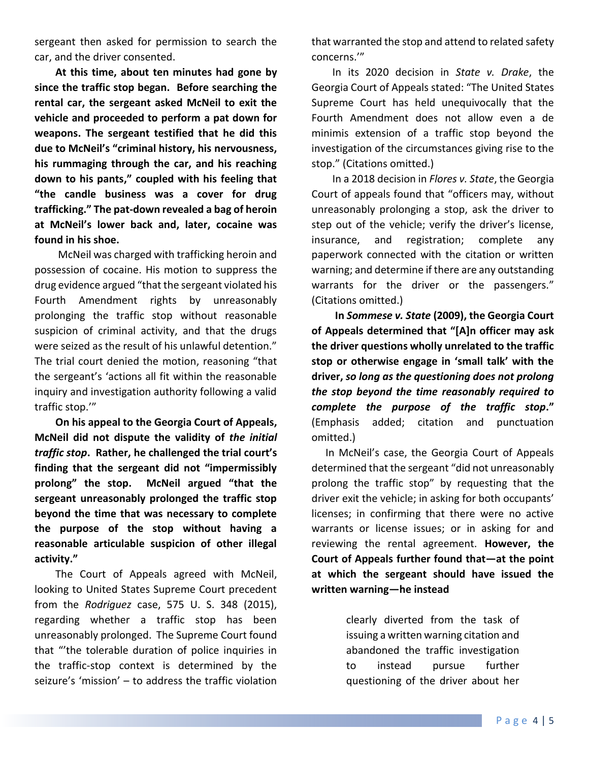sergeant then asked for permission to search the car, and the driver consented.

**At this time, about ten minutes had gone by since the traffic stop began. Before searching the rental car, the sergeant asked McNeil to exit the vehicle and proceeded to perform a pat down for weapons. The sergeant testified that he did this due to McNeil's "criminal history, his nervousness, his rummaging through the car, and his reaching down to his pants," coupled with his feeling that "the candle business was a cover for drug trafficking." The pat-down revealed a bag of heroin at McNeil's lower back and, later, cocaine was found in his shoe.**

McNeil was charged with trafficking heroin and possession of cocaine. His motion to suppress the drug evidence argued "that the sergeant violated his Fourth Amendment rights by unreasonably prolonging the traffic stop without reasonable suspicion of criminal activity, and that the drugs were seized as the result of his unlawful detention." The trial court denied the motion, reasoning "that the sergeant's 'actions all fit within the reasonable inquiry and investigation authority following a valid traffic stop.'"

**On his appeal to the Georgia Court of Appeals, McNeil did not dispute the validity of** *the initial traffic stop***. Rather, he challenged the trial court's finding that the sergeant did not "impermissibly prolong" the stop. McNeil argued "that the sergeant unreasonably prolonged the traffic stop beyond the time that was necessary to complete the purpose of the stop without having a reasonable articulable suspicion of other illegal activity."**

The Court of Appeals agreed with McNeil, looking to United States Supreme Court precedent from the *Rodriguez* case, 575 U. S. 348 (2015), regarding whether a traffic stop has been unreasonably prolonged. The Supreme Court found that "'the tolerable duration of police inquiries in the traffic-stop context is determined by the seizure's 'mission' – to address the traffic violation

that warranted the stop and attend to related safety concerns.'"

In its 2020 decision in *State v. Drake*, the Georgia Court of Appeals stated: "The United States Supreme Court has held unequivocally that the Fourth Amendment does not allow even a de minimis extension of a traffic stop beyond the investigation of the circumstances giving rise to the stop." (Citations omitted.)

In a 2018 decision in *Flores v. State*, the Georgia Court of appeals found that "officers may, without unreasonably prolonging a stop, ask the driver to step out of the vehicle; verify the driver's license, insurance, and registration; complete any paperwork connected with the citation or written warning; and determine if there are any outstanding warrants for the driver or the passengers." (Citations omitted.)

**In** *Sommese v. State* **(2009), the Georgia Court of Appeals determined that "[A]n officer may ask the driver questions wholly unrelated to the traffic stop or otherwise engage in 'small talk' with the driver,** *so long as the questioning does not prolong the stop beyond the time reasonably required to complete the purpose of the traffic stop***."** (Emphasis added; citation and punctuation omitted.)

In McNeil's case, the Georgia Court of Appeals determined that the sergeant "did not unreasonably prolong the traffic stop" by requesting that the driver exit the vehicle; in asking for both occupants' licenses; in confirming that there were no active warrants or license issues; or in asking for and reviewing the rental agreement. **However, the Court of Appeals further found that—at the point at which the sergeant should have issued the written warning—he instead**

> clearly diverted from the task of issuing a written warning citation and abandoned the traffic investigation to instead pursue further questioning of the driver about her